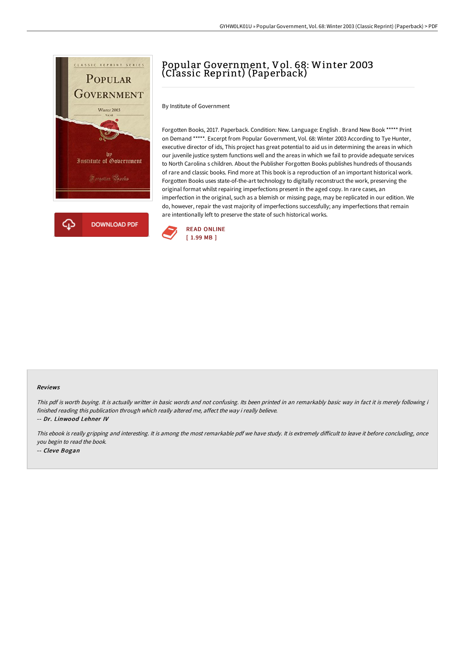

## Popular Government, Vol. 68: Winter 2003 (Classic Reprint) (Paperback)

By Institute of Government

Forgotten Books, 2017. Paperback. Condition: New. Language: English . Brand New Book \*\*\*\*\* Print on Demand \*\*\*\*\*. Excerpt from Popular Government, Vol. 68: Winter 2003 According to Tye Hunter, executive director of ids, This project has great potential to aid us in determining the areas in which our juvenile justice system functions well and the areas in which we fail to provide adequate services to North Carolina s children. About the Publisher Forgotten Books publishes hundreds of thousands of rare and classic books. Find more at This book is a reproduction of an important historical work. Forgotten Books uses state-of-the-art technology to digitally reconstruct the work, preserving the original format whilst repairing imperfections present in the aged copy. In rare cases, an imperfection in the original, such as a blemish or missing page, may be replicated in our edition. We do, however, repair the vast majority of imperfections successfully; any imperfections that remain are intentionally left to preserve the state of such historical works.



## Reviews

This pdf is worth buying. It is actually writter in basic words and not confusing. Its been printed in an remarkably basic way in fact it is merely following i finished reading this publication through which really altered me, affect the way i really believe.

-- Dr. Linwood Lehner IV

This ebook is really gripping and interesting. It is among the most remarkable pdf we have study. It is extremely difficult to leave it before concluding, once you begin to read the book. -- Cleve Bogan